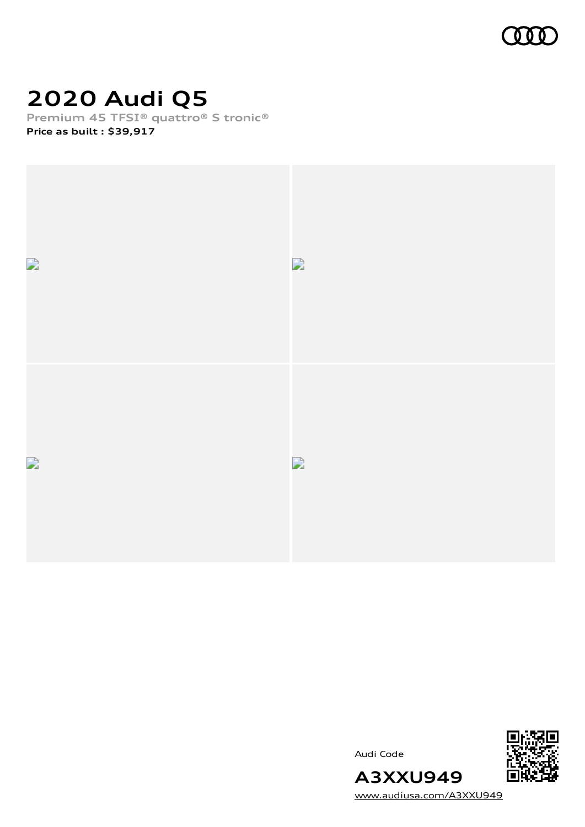

# **2020 Audi Q5**

**Premium 45 TFSI® quattro® S tronic® Price as built [:](#page-8-0) \$39,917**





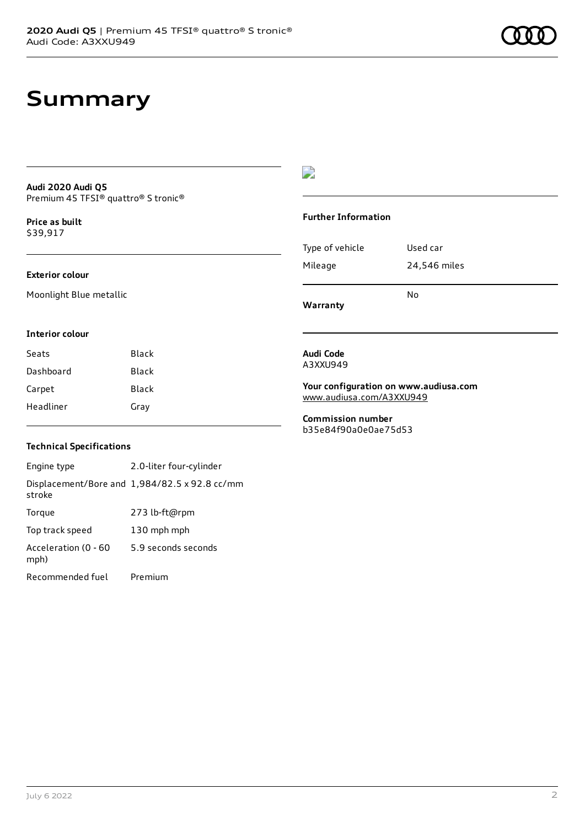## **Summary**

#### **Audi 2020 Audi Q5** Premium 45 TFSI® quattro® S tronic®

**Price as buil[t](#page-8-0)** \$39,917

#### **Exterior colour**

Moonlight Blue metallic

### D

#### **Further Information**

Type of vehicle Used car Mileage 24,546 miles No

**Warranty**

#### **Interior colour**

| Seats     | Black |
|-----------|-------|
| Dashboard | Black |
| Carpet    | Black |
| Headliner | Gray  |

#### **Audi Code** A3XXU949

**Your configuration on www.audiusa.com** [www.audiusa.com/A3XXU949](https://www.audiusa.com/A3XXU949)

**Commission number** b35e84f90a0e0ae75d53

### **Technical Specifications**

Engine type 2.0-liter four-cylinder Displacement/Bore and 1,984/82.5 x 92.8 cc/mm stroke Torque 273 lb-ft@rpm Top track speed 130 mph mph Acceleration (0 - 60 mph) 5.9 seconds seconds Recommended fuel Premium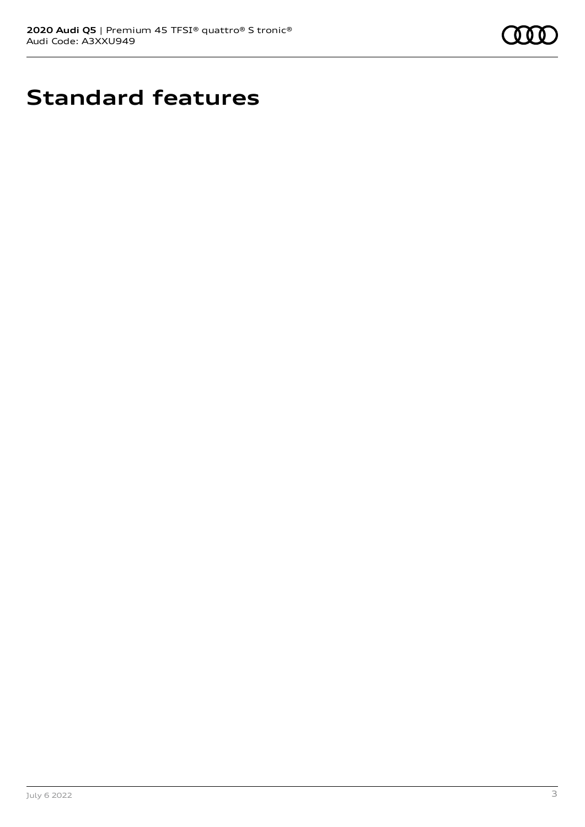

# **Standard features**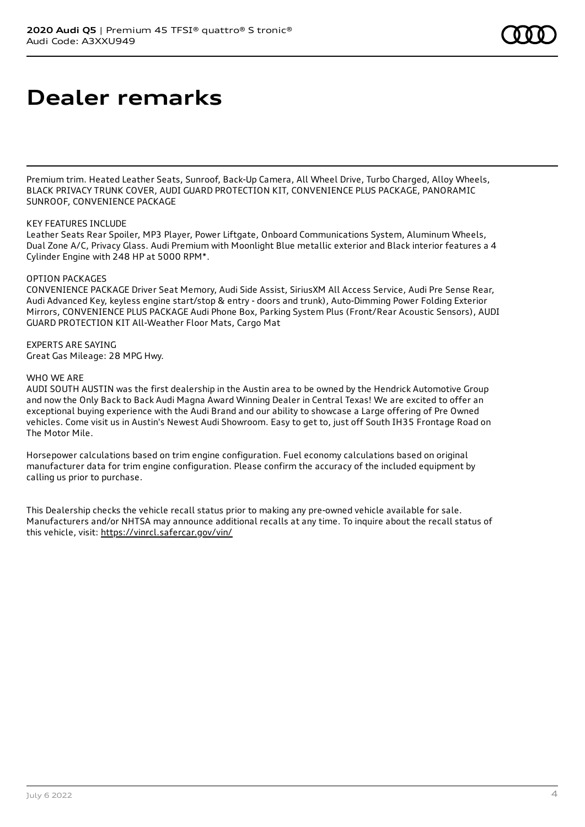## **Dealer remarks**

Premium trim. Heated Leather Seats, Sunroof, Back-Up Camera, All Wheel Drive, Turbo Charged, Alloy Wheels, BLACK PRIVACY TRUNK COVER, AUDI GUARD PROTECTION KIT, CONVENIENCE PLUS PACKAGE, PANORAMIC SUNROOF, CONVENIENCE PACKAGE

#### KEY FEATURES INCLUDE

Leather Seats Rear Spoiler, MP3 Player, Power Liftgate, Onboard Communications System, Aluminum Wheels, Dual Zone A/C, Privacy Glass. Audi Premium with Moonlight Blue metallic exterior and Black interior features a 4 Cylinder Engine with 248 HP at 5000 RPM\*.

#### OPTION PACKAGES

CONVENIENCE PACKAGE Driver Seat Memory, Audi Side Assist, SiriusXM All Access Service, Audi Pre Sense Rear, Audi Advanced Key, keyless engine start/stop & entry - doors and trunk), Auto-Dimming Power Folding Exterior Mirrors, CONVENIENCE PLUS PACKAGE Audi Phone Box, Parking System Plus (Front/Rear Acoustic Sensors), AUDI GUARD PROTECTION KIT All-Weather Floor Mats, Cargo Mat

#### EXPERTS ARE SAYING Great Gas Mileage: 28 MPG Hwy.

#### WHO WE ARE

AUDI SOUTH AUSTIN was the first dealership in the Austin area to be owned by the Hendrick Automotive Group and now the Only Back to Back Audi Magna Award Winning Dealer in Central Texas! We are excited to offer an exceptional buying experience with the Audi Brand and our ability to showcase a Large offering of Pre Owned vehicles. Come visit us in Austin's Newest Audi Showroom. Easy to get to, just off South IH35 Frontage Road on The Motor Mile.

Horsepower calculations based on trim engine configuration. Fuel economy calculations based on original manufacturer data for trim engine configuration. Please confirm the accuracy of the included equipment by calling us prior to purchase.

This Dealership checks the vehicle recall status prior to making any pre-owned vehicle available for sale. Manufacturers and/or NHTSA may announce additional recalls at any time. To inquire about the recall status of this vehicle, visit: <https://vinrcl.safercar.gov/vin/>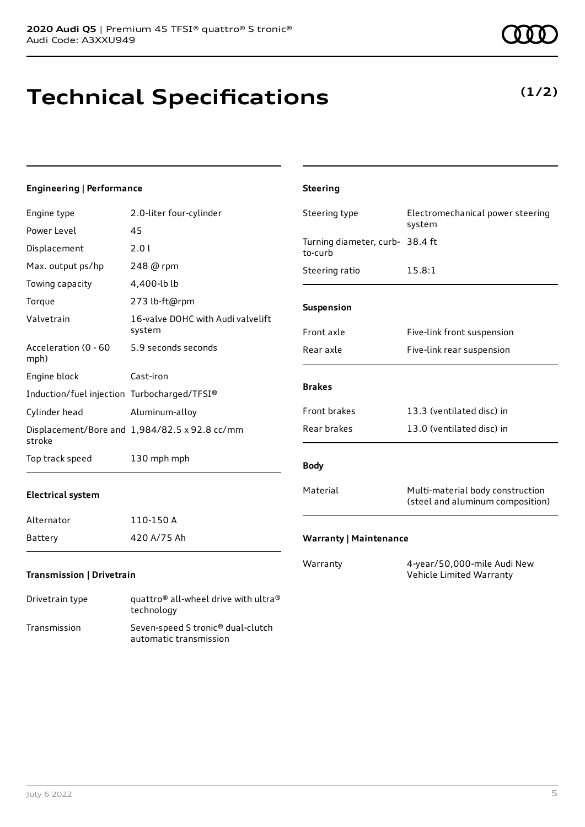# **Technical Specifications**

#### July 6 2022 5

| Engine type                                 | 2.0-liter four-cylinder                       | Steering type                              | Electromechanical power steering                                     |
|---------------------------------------------|-----------------------------------------------|--------------------------------------------|----------------------------------------------------------------------|
| Power Level                                 | 45                                            |                                            | system                                                               |
| Displacement                                | 2.01                                          | Turning diameter, curb- 38.4 ft<br>to-curb |                                                                      |
| Max. output ps/hp                           | 248 @ rpm                                     | Steering ratio                             | 15.8:1                                                               |
| Towing capacity                             | 4,400-lb lb                                   |                                            |                                                                      |
| Torque                                      | 273 lb-ft@rpm                                 | Suspension                                 |                                                                      |
| Valvetrain                                  | 16-valve DOHC with Audi valvelift<br>system   | Front axle                                 | Five-link front suspension                                           |
| Acceleration (0 - 60<br>mph)                | 5.9 seconds seconds                           | Rear axle                                  | Five-link rear suspension                                            |
| Engine block                                | Cast-iron                                     | <b>Brakes</b>                              |                                                                      |
| Induction/fuel injection Turbocharged/TFSI® |                                               |                                            |                                                                      |
| Cylinder head                               | Aluminum-alloy                                | Front brakes                               | 13.3 (ventilated disc) in                                            |
| stroke                                      | Displacement/Bore and 1,984/82.5 x 92.8 cc/mm | Rear brakes                                | 13.0 (ventilated disc) in                                            |
| Top track speed                             | 130 mph mph                                   | <b>Body</b>                                |                                                                      |
| Electrical system                           |                                               | Material                                   | Multi-material body construction<br>(steel and aluminum composition) |
| Alternator                                  | 110-150 A                                     |                                            |                                                                      |
| Battery                                     | 420 A/75 Ah                                   | <b>Warranty   Maintenance</b>              |                                                                      |

**Steering**

Warranty 4-year/50,000-mile Audi New

Vehicle Limited Warranty

### **Transmission | Drivetrain**

**Engineering | Performance**

| Drivetrain type | quattro <sup>®</sup> all-wheel drive with ultra <sup>®</sup><br>technology |
|-----------------|----------------------------------------------------------------------------|
| Transmission    | Seven-speed S tronic <sup>®</sup> dual-clutch<br>automatic transmission    |



### **(1/2)**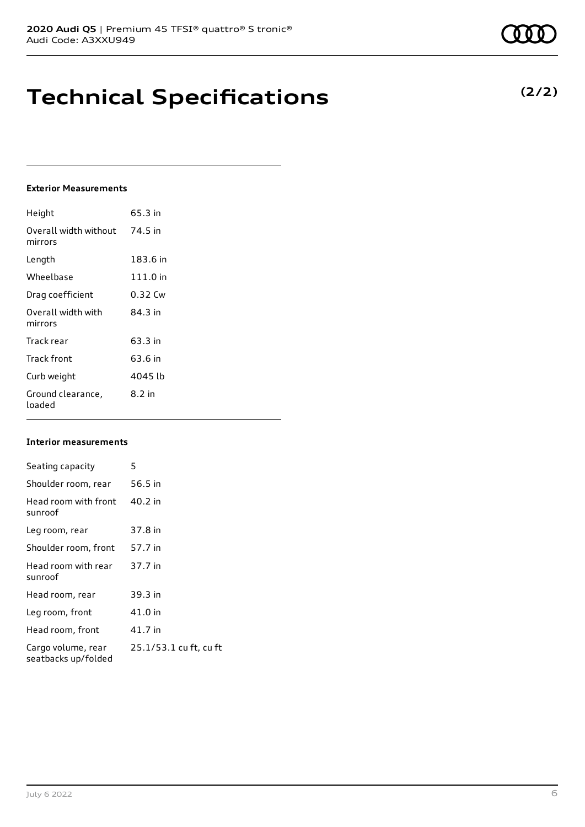## **Technical Specifications**

### **Exterior Measurements**

| Height                           | 65.3 in  |
|----------------------------------|----------|
| Overall width without<br>mirrors | 74.5 in  |
| Length                           | 183.6 in |
| Wheelbase                        | 111.0 in |
| Drag coefficient                 | 0.32 Cw  |
| Overall width with<br>mirrors    | 84.3 in  |
| Track rear                       | 63.3 in  |
| Track front                      | 63.6 in  |
| Curb weight                      | 4045 lb  |
| Ground clearance,<br>loaded      | 8.2 in   |

#### **Interior measurements**

| Seating capacity                          | 5                      |
|-------------------------------------------|------------------------|
| Shoulder room, rear                       | 56.5 in                |
| Head room with front<br>sunroof           | 40.2 in                |
| Leg room, rear                            | 37.8 in                |
| Shoulder room, front                      | 57.7 in                |
| Head room with rear<br>sunroof            | 37.7 in                |
| Head room, rear                           | 39.3 in                |
| Leg room, front                           | 41.0 in                |
| Head room, front                          | 41.7 in                |
| Cargo volume, rear<br>seatbacks up/folded | 25.1/53.1 cu ft, cu ft |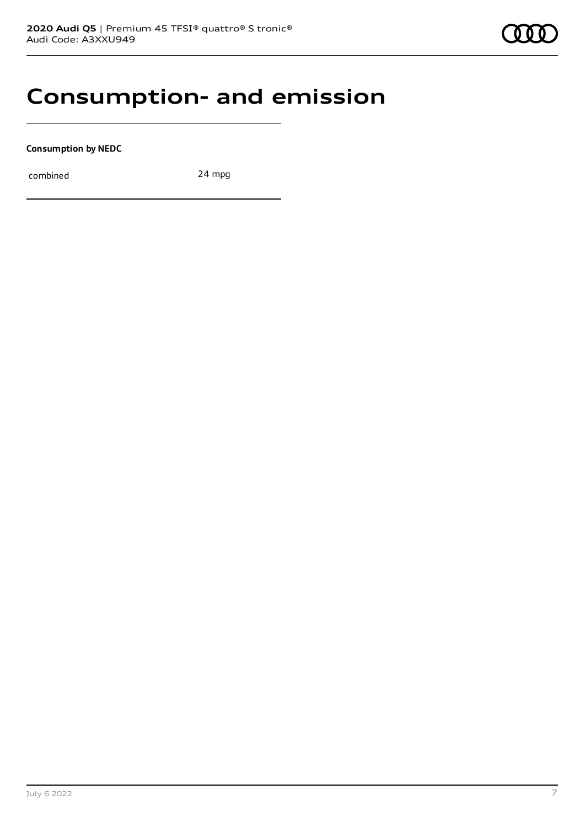### **Consumption- and emission**

**Consumption by NEDC**

combined 24 mpg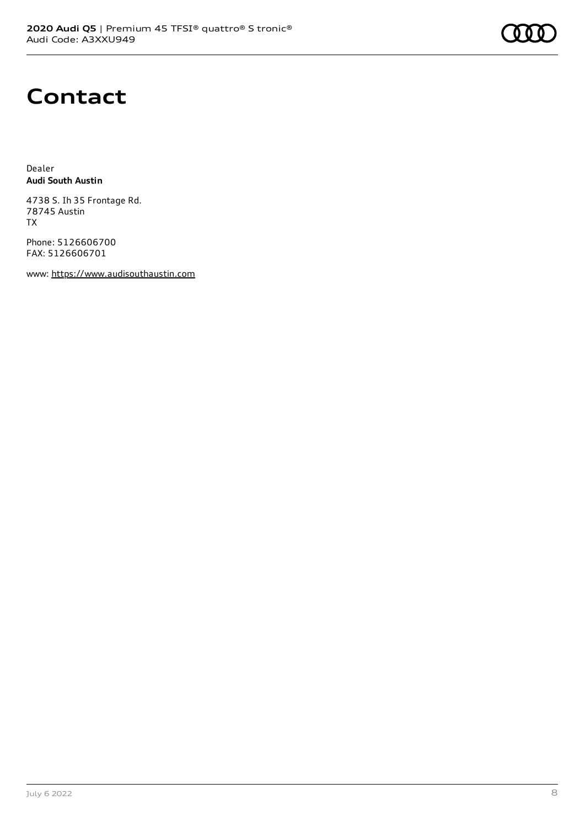## **Contact**

Dealer **Audi South Austin**

4738 S. Ih 35 Frontage Rd. 78745 Austin TX

Phone: 5126606700 FAX: 5126606701

www: [https://www.audisouthaustin.com](https://www.audisouthaustin.com/)